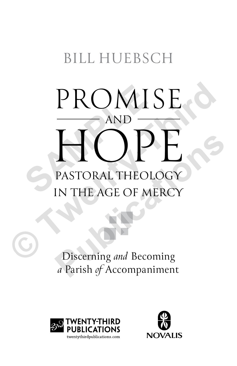# BILL HUEBSCH

# PROMISE<br>
HOPE<br>
PASTORAL THEOLOGY<br>
IN THE AGE OF MERCY AND HOPE PASTORAL THEOLOGY IN THE AGE OF MERCY PROMISE<br>
MOPE<br>
PASTORAL THEOLOGY<br>
IN THE AGE OF MERCY<br>
Discerning *and* Becoming **PASTORAL THEOLOGY**<br> **PASTORAL THEOLOGY**<br> **IN THE AGE OF MERCY**<br>
Discerning *and* Becoming<br> *a* Parish of Accompaniment

Discerning *and* Becoming *a* Parish *of* Accompaniment



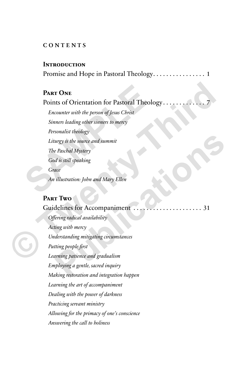### **CONTENTS**

#### **Introduction**

Promise and Hope in Pastoral Theology . . 1

### **Part One**

Points of Orientation for Pastoral Theology.

*Encounter with the person of Jesus Christ Sinners leading other sinners to mercy Personalist theology Liturgy is the source and summit The Paschal Mystery God is still speaking Grace An illustration: John and Mary Ellen* **PART ONE**<br>
Points of Orientation for Pastoral Theolog<br>
Encounter with the person of Jesus Christ<br>
Sinners leading other sinners to mercy<br>
Personalist theology<br>
Liturgy is the source and summit<br>
The Paschal Mystery<br>
God is **© Twenty-Third** 

# **Part Two**

# Guidelines for Accompaniment . . 31

*Offering radical availability Acting with mercy Understanding mitigating circumstances Putting people first Learning patience and gradualism Employing a gentle, sacred inquiry Making restoration and integration happen Learning the art of accompaniment Dealing with the power of darkness Practicing servant ministry Allowing for the primacy of one's conscience Answering the call to holiness* **Puschal Mystery**<br> **Paschal Mystery**<br> **Paschal Mystery**<br> **Constant of the solution and Mary Ellen**<br> **F TWO**<br> **Constant of the solution and Mary Ellen**<br> **Publications Solution**<br> **Passive and the solution of the solution o**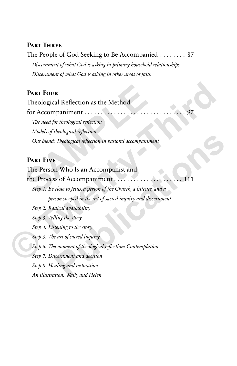# **Part Three**

The People of God Seeking to Be Accompanied  $\ldots \ldots$  87 *Discernment of what God is asking in primary household relationships Discernment of what God is asking in other areas of faith*

# **Part Four**

Theological Reflection as the Method

for Accompaniment  $\dots \dots$ *The need for theological reflection Models of theological reflection Our blend: Theological reflection in pastoral accompaniment* **PART FOUR**<br>
Theological Reflection as the Method<br>
for Accompaniment<br> *The need for theological reflection*<br> *Models of theological reflection*<br> *Our blend: Theological reflection in pastoral accompanimen*<br> **PART FIVE**<br> **T** 

# **Part Five**

The Person Who Is an Accompanist and the Process of Accompaniment . . 111 *Step 1: Be close to Jesus, a person of the Church, a listener, and a person steeped in the art of sacred inquiry and discernment Step 2: Radical availability Step 3: Telling the story Step 4: Listening to the story Step 5: The art of sacred inquiry Step 6: The moment of theological reflection: Contemplation Step 7: Discernment and decision Step 8 Healing and restoration* **© Twenty-Third Pheological reflection in pastoral accompaniment<br>
2<br>
2<br>
2<br>
<b>Publication State Administration**<br> **Publication**<br> **Publications are properties**<br> **Publications**<br> **Publication**<br> **Publication**<br> **Publication**<br> **Publication**<br> **Pub** 

*An illustration: Wally and Helen*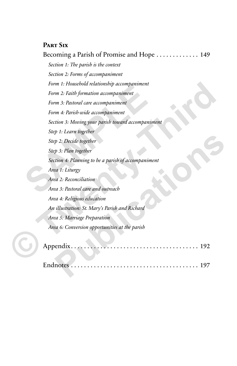# **Part Six**

Becoming a Parish of Promise and Hope . . . . . . . . . . . . 149 *Section 1: The parish is the context Section 2: Forms of accompaniment Form 1: Household relationship accompaniment Form 2: Faith formation accompaniment Form 3: Pastoral care accompaniment Form 4: Parish-wide accompaniment Section 3: Moving your parish toward accompaniment Step 1: Learn together Step 2: Decide together Step 3: Plan together Section 4: Planning to be a parish of accompaniment Area 1: Liturgy Area 2: Reconciliation Area 3: Pastoral care and outreach Area 4: Religious education An illustration: St. Mary's Parish and Richard Area 5: Marriage Preparation Area 6: Conversion opportunities at the parish* Form 1: Flowsebold relationship accompaniment<br>
Form 3: Pastoral care accompaniment<br>
Form 3: Pastoral care accompaniment<br>
Form 4: Parish-wide accompaniment<br>
Section 3: Moving your parish toward accompanime<br>
Step 1: Learn to Form 1: Housebold relationship accompaniment<br>
Form 2: Faith formation accompaniment<br>
Form 4: Parisb-wide accompaniment<br>
Form 4: Parisb-wide accompaniment<br>
Section 3: Moving-your parish toward accompaniment<br>
Step 1: Learn t **Publication**<br>  $p_3$ : Decide together<br>  $p_3$ : Plan together<br>  $p_3$ : Plan together<br>  $p_4$ : Planning to be a parish of accompaniment<br>  $p_4$  3: Reconciliation<br>  $p_4$  3: Reconciliation<br>  $p_4$  3: Reconciliation<br>  $p_4$  3: Recon



Endnotes . . 197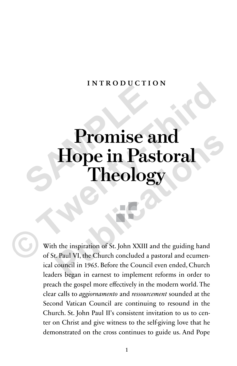# introdu c tion

# **Promise and Hope in Pastoral Theology Promise a**<br>Hope in Pas<br>Theolog **Promise and Hope in Pastoral Theology**<br>
With the inspiration of St. John XXIII and the guiding hand of St. Paul VI, the Church concluded a pastoral and ecumen-**Promise and<br>
Theology**<br> **Pastoral Theology**<br> **Pheology**<br> **Pheology**<br> **Pheology**<br> **Pheology**<br> **Pheology**<br> **Pheology**<br> **Pheology**<br> **Pheology**<br> **Pheology**<br> **Pheology**<br> **Pheology**<br> **Pheology**<br> **Pheology**<br> **Pheology**<br> **Pheolog**

With the inspiration of St. John XXIII and the guiding hand of St. Paul VI, the Church concluded a pastoral and ecumenical council in 1965. Before the Council even ended, Church leaders began in earnest to implement reforms in order to preach the gospel more effectively in the modern world. The clear calls to *aggiornamento* and *ressourcement* sounded at the Second Vatican Council are continuing to resound in the Church. St. John Paul II's consistent invitation to us to center on Christ and give witness to the self-giving love that he demonstrated on the cross continues to guide us. And Pope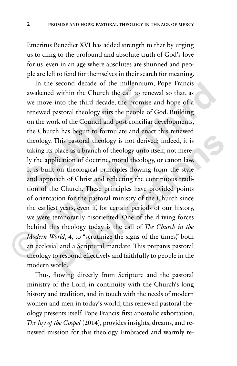Emeritus Benedict XVI has added strength to that by urging us to cling to the profound and absolute truth of God's love for us, even in an age where absolutes are shunned and people are left to fend for themselves in their search for meaning.

In the second decade of the millennium, Pope Francis awakened within the Church the call to renewal so that, as we move into the third decade, the promise and hope of a renewed pastoral theology stirs the people of God. Building on the work of the Council and post-conciliar developments, the Church has begun to formulate and enact this renewed theology. This pastoral theology is not derived; indeed, it is taking its place as a branch of theology unto itself, not merely the application of doctrine, moral theology, or canon law. It is built on theological principles flowing from the style and approach of Christ and reflecting the continuous tradition of the Church. These principles have provided points of orientation for the pastoral ministry of the Church since the earliest years, even if, for certain periods of our history, we were temporarily disoriented. One of the driving forces behind this theology today is the call of *The Church in the Modern World*, 4, to "scrutinize the signs of the times," both an ecclesial and a Scriptural mandate. This prepares pastoral theology to respond effectively and faithfully to people in the modern world. In the second decade of the inherminant, awakened within the Church the call to renew<br>we move into the third decade, the promise a<br>renewed pastoral theology stirs the people of C<br>on the work of the Council and post-concili In the second decade of the millennium, Pope Francis<br>awakened within the Church the call to renewal so that, as<br>we move into the third decade, the promise and hope of a<br>renewed pastoral theology stirs the people of God. Bu This pastoral theology is not derived; indeed, it is<br>place as a branch of theology unto itself, not mere-<br>lication of doctrine, moral theology, or canon law.<br>on theological principles flowing from the style<br>ach of Christ a

Thus, flowing directly from Scripture and the pastoral ministry of the Lord, in continuity with the Church's long history and tradition, and in touch with the needs of modern women and men in today's world, this renewed pastoral theology presents itself. Pope Francis' first apostolic exhortation, *The Joy of the Gospel* (2014), provides insights, dreams, and renewed mission for this theology. Embraced and warmly re-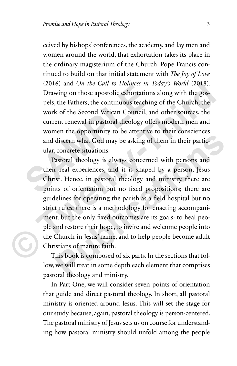ceived by bishops' conferences, the academy, and lay men and women around the world, that exhortation takes its place in the ordinary magisterium of the Church. Pope Francis continued to build on that initial statement with *The Joy of Love* (2016) and *On the Call to Holiness in Today's World* (2018). Drawing on those apostolic exhortations along with the gospels, the Fathers, the continuous teaching of the Church, the work of the Second Vatican Council, and other sources, the current renewal in pastoral theology offers modern men and women the opportunity to be attentive to their consciences and discern what God may be asking of them in their particular, concrete situations. (2010) and On the Call to Hothlass in To<br>Drawing on those apostolic exhortations<br>pels, the Fathers, the continuous teaching<br>work of the Second Vatican Council, and<br>current renewal in pastoral theology offer<br>women the oppor

Pastoral theology is always concerned with persons and their real experiences, and it is shaped by a person, Jesus Christ. Hence, in pastoral theology and ministry, there are points of orientation but no fixed propositions; there are guidelines for operating the parish as a field hospital but no strict rules; there is a methodology for enacting accompaniment, but the only fixed outcomes are its goals: to heal people and restore their hope, to invite and welcome people into the Church in Jesus' name, and to help people become adult Christians of mature faith. (2016) and *On the Call to Holmess m Today's World* (2018).<br>
Drawing on those apostolic exhortations along with the gos-<br>
pels, the Fathers, the continuous teaching of the Church, the<br>
work of the Second Vatican Council, a **Publication** of the solution of the main text of the main text of discorm what God may be asking of them in their partic-concrete situations.<br>
astoral theology is always concerned with persons and<br>
it real experiences, an

This book is composed of six parts. In the sections that follow, we will treat in some depth each element that comprises pastoral theology and ministry.

In Part One, we will consider seven points of orientation that guide and direct pastoral theology. In short, all pastoral ministry is oriented around Jesus. This will set the stage for our study because, again, pastoral theology is person-centered. The pastoral ministry of Jesus sets us on course for understanding how pastoral ministry should unfold among the people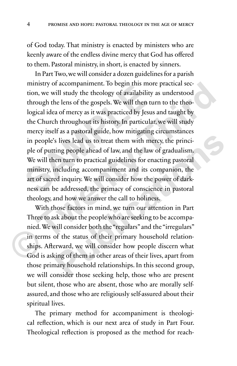of God today. That ministry is enacted by ministers who are keenly aware of the endless divine mercy that God has offered to them. Pastoral ministry, in short, is enacted by sinners.

In Part Two, we will consider a dozen guidelines for a parish ministry of accompaniment. To begin this more practical section, we will study the theology of availability as understood through the lens of the gospels. We will then turn to the theological idea of mercy as it was practiced by Jesus and taught by the Church throughout its history. In particular, we will study mercy itself as a pastoral guide, how mitigating circumstances in people's lives lead us to treat them with mercy, the principle of putting people ahead of law, and the law of gradualism. We will then turn to practical guidelines for enacting pastoral ministry, including accompaniment and its companion, the art of sacred inquiry. We will consider how the power of darkness can be addressed, the primacy of conscience in pastoral theology, and how we answer the call to holiness. tion, we will study the theology of availability a<br>through the lens of the gospels. We will then tur<br>logical idea of mercy as it was practiced by Jesus a<br>the Church throughout its history. In particular,<br>mercy itself as a ministry of accompaniment. Io begin this more practical section, we will study the theology of availability as understood through the lens of the gospels. We will then turn to the theological idea of mercy as it was practi

With those factors in mind, we turn our attention in Part Three to ask about the people who are seeking to be accompanied. We will consider both the "regulars" and the "irregulars" in terms of the status of their primary household relationships. Afterward, we will consider how people discern what God is asking of them in other areas of their lives, apart from those primary household relationships. In this second group, we will consider those seeking help, those who are present but silent, those who are absent, those who are morally selfassured, and those who are religiously self-assured about their spiritual lives. **Publication** is also to treat them with mercy, the princi-<br> **Publication is also to treat them with mercy, the princi-**<br> **Publication** and the law of gradualism.<br> **Publication** accompaniment and its companion, the<br> **Publi** 

The primary method for accompaniment is theological reflection, which is our next area of study in Part Four. Theological reflection is proposed as the method for reach-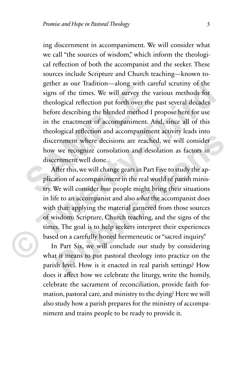ing discernment in accompaniment. We will consider what we call "the sources of wisdom," which inform the theological reflection of both the accompanist and the seeker. These sources include Scripture and Church teaching—known together as our Tradition—along with careful scrutiny of the signs of the times. We will survey the various methods for theological reflection put forth over the past several decades before describing the blended method I propose here for use in the enactment of accompaniment. And, since all of this theological reflection and accompaniment activity leads into discernment where decisions are reached, we will consider how we recognize consolation and desolation as factors in discernment well done. signs of the times. We will survey the values of the times. We will survey the values of the<br>ological reflection put forth over the p<br>before describing the blended method I p<br>in the enactment of accompaniment. Are<br>theologi gether as our Iradition—along with careful scrutiny of the<br>signs of the times. We will survey the various methods for<br>theological reflection put forth over the past several decades<br>before describing the blended method I pr

After this, we will change gears in Part Five to study the application of accompaniment in the real world of parish ministry. We will consider *how* people might bring their situations in life to an accompanist and also *what* the accompanist does with that: applying the material garnered from those sources of wisdom: Scripture, Church teaching, and the signs of the times. The goal is to help seekers interpret their experiences based on a carefully honed hermeneutic or "sacred inquiry." **Publicate Constant Conference in the Constant Constant Constrains Term and the erroment where decisions are reached, we will consider remment well done.**<br> **Publication of accompaniment in the real world of parish minis-**<br>

In Part Six, we will conclude our study by considering what it means to put pastoral theology into practice on the parish level. How is it enacted in real parish settings? How does it affect how we celebrate the liturgy, write the homily, celebrate the sacrament of reconciliation, provide faith formation, pastoral care, and ministry to the dying? Here we will also study how a parish prepares for the ministry of accompaniment and trains people to be ready to provide it.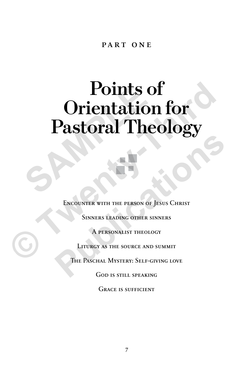# PART ONE

# **Points of Orientation for Pastoral Theology** Points of<br>
Orientation<br>
Pastoral The **Points of<br>
Orientation for<br>
Pastoral Theology<br>
ENCOUNTER WITH THE PERSON OF JESUS CHRIST<br>
SINNERS LEADING OTHER SINNERS<br>
A PERSONALIST THEOLOGY<br>
LITURGY AS THE SOURCE AND SUMMIT<br>
THE PASCHAL MYSTERY: SELF-GIVING LOVE**



ENCOUNTER WITH THE PERSON OF JESUS CHRIST **PUBLICATE SEX CONTRACTER SINCES**<br> **PUBLICATE SEX CHARACTER SINCES**<br> **PERSONALIST THEOLOGY**<br> **PERSONALIST THEOLOGY**<br> **PERSONALIST THEOLOGY**<br> **PHE PASCHAL MYSTERY: SELF-GIVING LOVE**<br>
GOD IS STILL SPEAKING

Sinners leading other sinners

A personalist theology

Liturgy as the source and summit

THE PASCHAL MYSTERY: SELF-GIVING LOVE

God is still speaking

GRACE IS SUFFICIENT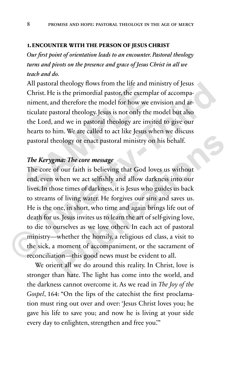#### **1. ENCOUNTER WITH THE PERSON OF JESUS CHRIST**

*Our first point of orientation leads to an encounter. Pastoral theology turns and pivots on the presence and grace of Jesus Christ in all we teach and do.* 

All pastoral theology flows from the life and ministry of Jesus Christ. He is the primordial pastor, the exemplar of accompaniment, and therefore the model for how we envision and articulate pastoral theology. Jesus is not only the model but also the Lord, and we in pastoral theology are invited to give our hearts to him. We are called to act like Jesus when we discuss pastoral theology or enact pastoral ministry on his behalf. The pastoral theology hows from the fite and finite<br>Christ. He is the primordial pastor, the exempla<br>niment, and therefore the model for how we en<br>ticulate pastoral theology. Jesus is not only the m<br>the Lord, and we in pas

# *The Kerygma: The core message*

The core of our faith is believing that God loves us without end, even when we act selfishly and allow darkness into our lives. In those times of darkness, it is Jesus who guides us back to streams of living water. He forgives our sins and saves us. He is the one, in short, who time and again brings life out of death for us. Jesus invites us to learn the art of self-giving love, to die to ourselves as we love others. In each act of pastoral ministry—whether the homily, a religious ed class, a visit to the sick, a moment of accompaniment, or the sacrament of reconciliation—this good news must be evident to all. All pastoral theology flows from the life and ministry of Jesus<br>Christ. He is the primordial pastor, the exemplar of accompa-<br>niment, and therefore the model for how we envision and ar-<br>ticulate pastoral theology. Jesus is **Publication Publication Publication Publication Publication Publications** <br> **Publication Publications** <br> **Publications** <br> **Publications interpretations into our**<br> **Publications** <br> **Publications** <br> **Publication** 

We orient all we do around this reality. In Christ, love is stronger than hate. The light has come into the world, and the darkness cannot overcome it. As we read in *The Joy of the Gospel*, 164: "On the lips of the catechist the first proclamation must ring out over and over: 'Jesus Christ loves you; he gave his life to save you; and now he is living at your side every day to enlighten, strengthen and free you.'"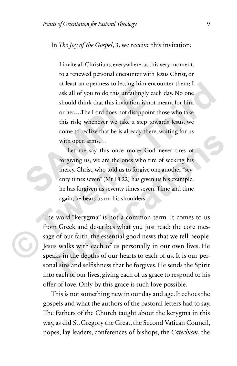# In *The Joy of the Gospel*, 3, we receive this invitation:

I invite all Christians, everywhere, at this very moment, to a renewed personal encounter with Jesus Christ, or at least an openness to letting him encounter them; I ask all of you to do this unfailingly each day. No one should think that this invitation is not meant for him or her.…The Lord does not disappoint those who take this risk; whenever we take a step towards Jesus, we come to realize that he is already there, waiting for us with open arms.… at least an openness to etting infinitive<br>ask all of you to do this unfailingly ead<br>should think that this invitation is not<br>or her....The Lord does not disappoint<br>this risk; whenever we take a step tow<br>come to realize tha at least an openness to letting him encounter them; I<br>ask all of you to do this unfailingly each day. No one<br>should think that this invitation is not meant for him<br>or her...The Lord does not disappoint those who take<br>this

Let me say this once more: God never tires of forgiving us; we are the ones who tire of seeking his mercy. Christ, who told us to forgive one another "seventy times seven" (Mt 18:22) has given us his example: he has forgiven us seventy times seven. Time and time again, he bears us on his shoulders.

The word "kerygma" is not a common term. It comes to us from Greek and describes what you just read: the core message of our faith, the essential good news that we tell people. Jesus walks with each of us personally in our own lives. He speaks in the depths of our hearts to each of us. It is our personal sins and selfishness that he forgives. He sends the Spirit into each of our lives, giving each of us grace to respond to his offer of love. Only by this grace is such love possible. Let me say this once more: God never tires of<br>forgiving us; we are the ones who tire of seeking his<br>mercy. Christ, who told us to forgive one another "sev-<br>enty times seven" (Mt 18:22) has given us his example:<br>he has forg

This is not something new in our day and age. It echoes the gospels and what the authors of the pastoral letters had to say. The Fathers of the Church taught about the kerygma in this way, as did St. Gregory the Great, the Second Vatican Council, popes, lay leaders, conferences of bishops, the *Catechism*, the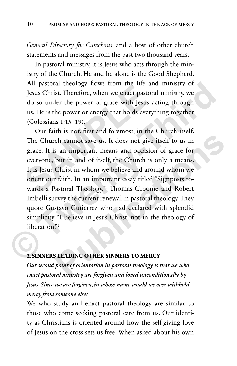*General Directory for Catechesis*, and a host of other church statements and messages from the past two thousand years.

In pastoral ministry, it is Jesus who acts through the ministry of the Church. He and he alone is the Good Shepherd. All pastoral theology flows from the life and ministry of Jesus Christ. Therefore, when we enact pastoral ministry, we do so under the power of grace with Jesus acting through us. He is the power or energy that holds everything together (Colossians 1:15–19).

Our faith is not, first and foremost, in the Church itself. The Church cannot save us. It does not give itself to us in grace. It is an important means and occasion of grace for everyone, but in and of itself, the Church is only a means. It is Jesus Christ in whom we believe and around whom we orient our faith. In an important essay titled "Signposts towards a Pastoral Theology,"1 Thomas Groome and Robert Imbelli survey the current renewal in pastoral theology. They quote Gustavo Gutiérrez who had declared with splendid simplicity, "I believe in Jesus Christ, not in the theology of liberation."<sup>2</sup> Jesus Christ. Therefore, when we enact pastoral<br>do so under the power of grace with Jesus ac<br>us. He is the power or energy that holds everytl<br>(Colossians 1:15–19).<br>Our faith is not, first and foremost, in the C<br>The Church All pastoral theology flows from the life and ministry of<br>Jesus Christ. Therefore, when we enact pastoral ministry, we<br>do so under the power of grace with Jesus acting through<br>us. He is the power or energy that holds every **Publication**<br> **Publication**<br> **Publication**<br> **Publication**<br> **Publications and occasion of grace for**<br> **Publications and occasion of grace for**<br> **Publications in the Church is only a means.**<br> **Christ in whom we believe and** 

#### **2. SINNERS LEADING OTHER SINNERS TO MERCY**

*Our second point of orientation in pastoral theology is that we who enact pastoral ministry are forgiven and loved unconditionally by Jesus. Since we are forgiven, in whose name would we ever withhold mercy from someone else?*

We who study and enact pastoral theology are similar to those who come seeking pastoral care from us. Our identity as Christians is oriented around how the self-giving love of Jesus on the cross sets us free. When asked about his own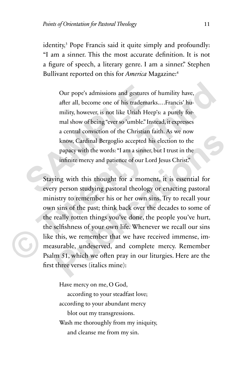identity,<sup>3</sup> Pope Francis said it quite simply and profoundly: "I am a sinner. This the most accurate definition. It is not a figure of speech, a literary genre. I am a sinner." Stephen Bullivant reported on this for *America* Magazine:4

Our pope's admissions and gestures of humility have, after all, become one of his trademarks.…Francis' humility, however, is not like Uriah Heep's: a purely formal show of being "ever so 'umble." Instead, it expresses a central conviction of the Christian faith. As we now know, Cardinal Bergoglio accepted his election to the papacy with the words: "I am a sinner, but I trust in the infinite mercy and patience of our Lord Jesus Christ." Our pope's admissions and gestures of<br>after all, become one of his trademarks<br>mility, however, is not like Uriah Heep'<br>mal show of being "ever so 'umble." Inste<br>a central conviction of the Christian fai<br>know, Cardinal Berg

Staying with this thought for a moment, it is essential for every person studying pastoral theology or enacting pastoral ministry to remember his or her own sins. Try to recall your own sins of the past; think back over the decades to some of the really rotten things you've done, the people you've hurt, the selfishness of your own life. Whenever we recall our sins like this, we remember that we have received immense, immeasurable, undeserved, and complete mercy. Remember Psalm 51, which we often pray in our liturgies. Here are the first three verses (italics mine): Our pope's admissions and gestures of humility have,<br>after all, become one of his trademarks....Francis' humility, however, is not like Uriah Heep's: a purely for-<br>mal show of being "ever so 'umble." Instead, it expresses<br> know, Cardinal Bergoglio accepted his election to the<br>papacy with the words: "I am a sinner, but I trust in the<br>infinite mercy and patience of our Lord Jesus Christ."<br>ing with this thought for a moment, it is essential for

> Have mercy on me, O God, according to your steadfast love; according to your abundant mercy blot out my transgressions. Wash me thoroughly from my iniquity, and cleanse me from my sin.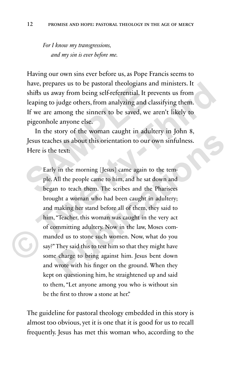*For I know my transgressions, and my sin is ever before me.*

Having our own sins ever before us, as Pope Francis seems to have, prepares us to be pastoral theologians and ministers. It shifts us away from being self-referential. It prevents us from leaping to judge others, from analyzing and classifying them. If we are among the sinners to be saved, we aren't likely to pigeonhole anyone else. Final Shifts us away from being self-referential. It precleaping to judge others, from analyzing and class<br>If we are among the sinners to be saved, we are pigeonhole anyone else.<br>In the story of the woman caught in adulte<br>

In the story of the woman caught in adultery in John 8, Jesus teaches us about this orientation to our own sinfulness. Here is the text:

Early in the morning [Jesus] came again to the temple. All the people came to him, and he sat down and began to teach them. The scribes and the Pharisees brought a woman who had been caught in adultery; and making her stand before all of them, they said to him, "Teacher, this woman was caught in the very act of committing adultery. Now in the law, Moses commanded us to stone such women. Now, what do you say?" They said this to test him so that they might have some charge to bring against him. Jesus bent down and wrote with his finger on the ground. When they kept on questioning him, he straightened up and said to them, "Let anyone among you who is without sin be the first to throw a stone at her." have, prepares us to be pastoral theologians and ministers. It<br>shifts us away from being self-referential. It prevents us from<br>leaping to judge others, from analyzing and classifying them.<br>If we are among the sinners to be **Publication CONFIGUATE:** The meansure of the meansure of the meansure of the tem-<br> **Publication Publication to our own sinfulness.**<br> **Publication to the tem-**<br> **Publication in the meansure of the meansure of the tem-**<br>

The guideline for pastoral theology embedded in this story is almost too obvious, yet it is one that it is good for us to recall frequently. Jesus has met this woman who, according to the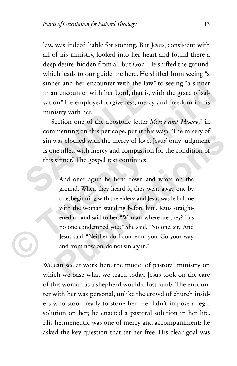law, was indeed liable for stoning. But Jesus, consistent with all of his ministry, looked into her heart and found there a deep desire, hidden from all but God. He shifted the ground, which leads to our guideline here. He shifted from seeing "a sinner and her encounter with the law" to seeing "a sinner in an encounter with her Lord, that is, with the grace of salvation." He employed forgiveness, mercy, and freedom in his ministry with her.

Section one of the apostolic letter *Mercy and Misery*,<sup>5</sup> in commenting on this pericope, put it this way: "The misery of sin was clothed with the mercy of love. Jesus' only judgment is one filled with mercy and compassion for the condition of this sinner." The gospel text continues: sinner and net encounter whit the law<br>in an encounter with her Lord, that is, w<br>vation." He employed forgiveness, mercy,<br>ministry with her.<br>Section one of the apostolic letter *Me*<br>commenting on this pericope, put it this<br>

And once again he bent down and wrote on the ground. When they heard it, they went away, one by one, beginning with the elders; and Jesus was left alone with the woman standing before him. Jesus straightened up and said to her, "Woman, where are they? Has no one condemned you?" She said, "No one, sir." And Jesus said, "Neither do I condemn you. Go your way, and from now on, do not sin again." sinner and her encounter with the law" to seeing "a sinner<br>in an encounter with her Lord, that is, with the grace of sal-<br>vation." He employed forgiveness, mercy, and freedom in his<br>ministry with her.<br>Section one of the a **Publication Publication Publication Publication Publication Publication Publication Publication Publication Publication Publication Publication Publication Publication Publication Publication** 

We can see at work here the model of pastoral ministry on which we base what we teach today. Jesus took on the care of this woman as a shepherd would a lost lamb. The encounter with her was personal, unlike the crowd of church insiders who stood ready to stone her. He didn't impose a legal solution on her; he enacted a pastoral solution in her life. His hermeneutic was one of mercy and accompaniment: he asked the key question that set her free. His clear goal was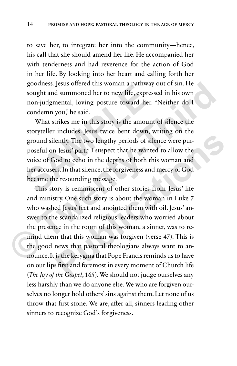to save her, to integrate her into the community—hence, his call that she should amend her life. He accompanied her with tenderness and had reverence for the action of God in her life. By looking into her heart and calling forth her goodness, Jesus offered this woman a pathway out of sin. He sought and summoned her to new life, expressed in his own non-judgmental, loving posture toward her. "Neither do I condemn you," he said.

What strikes me in this story is the amount of silence the storyteller includes. Jesus twice bent down, writing on the ground silently. The two lengthy periods of silence were purposeful on Jesus' part.6 I suspect that he wanted to allow the voice of God to echo in the depths of both this woman and her accusers. In that silence, the forgiveness and mercy of God became the resounding message. southess, yests offered this woman a pathway of sought and summoned her to new life, expresses non-judgmental, loving posture toward her. "Condemn you," he said.<br>What strikes me in this story is the amount storyteller incl

This story is reminiscent of other stories from Jesus' life and ministry. One such story is about the woman in Luke 7 who washed Jesus' feet and anointed them with oil. Jesus' answer to the scandalized religious leaders who worried about the presence in the room of this woman, a sinner, was to remind them that this woman was forgiven (verse 47). This is the good news that pastoral theologians always want to announce. It is the kerygma that Pope Francis reminds us to have on our lips first and foremost in every moment of Church life (*The Joy of the Gospel*, 165). We should not judge ourselves any less harshly than we do anyone else. We who are forgiven ourselves no longer hold others' sins against them. Let none of us throw that first stone. We are, after all, sinners leading other sinners to recognize God's forgiveness. goodness, Jesus offered this woman a pathway out of sin. He<br>sought and summoned her to new life, expressed in his own<br>non-judgmental, loving posture toward her. "Neither do I<br>condemn you," he said.<br>What strikes me in this Further two lengthy periods of silence were pur-<br>
Jesus' part.<sup>6</sup> I suspect that he wanted to allow the<br>
biod to echo in the depths of both this woman and<br>
respect that is elements of both this woman and<br>
respectively. One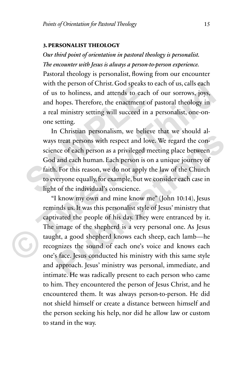#### **3. PERSONALIST THEOLOGY**

*Our third point of orientation in pastoral theology is personalist. The encounter with Jesus is always a person-to-person experience.* Pastoral theology is personalist, flowing from our encounter with the person of Christ. God speaks to each of us, calls each of us to holiness, and attends to each of our sorrows, joys, and hopes. Therefore, the enactment of pastoral theology in a real ministry setting will succeed in a personalist, one-onone setting.

In Christian personalism, we believe that we should always treat persons with respect and love. We regard the conscience of each person as a privileged meeting place between God and each human. Each person is on a unique journey of faith. For this reason, we do not apply the law of the Church to everyone equally, for example, but we consider each case in light of the individual's conscience. with the person of Christ. God speaks to example of us to holiness, and attends to each of and hopes. Therefore, the enactment of p a real ministry setting will succeed in a p one setting.<br>In Christian personalism, we beli

"I know my own and mine know me" (John 10:14), Jesus reminds us. It was this personalist style of Jesus' ministry that captivated the people of his day. They were entranced by it. The image of the shepherd is a very personal one. As Jesus taught, a good shepherd knows each sheep, each lamb—he recognizes the sound of each one's voice and knows each one's face. Jesus conducted his ministry with this same style and approach. Jesus' ministry was personal, immediate, and intimate. He was radically present to each person who came to him. They encountered the person of Jesus Christ, and he encountered them. It was always person-to-person. He did not shield himself or create a distance between himself and the person seeking his help, nor did he allow law or custom to stand in the way. with the person of Christ. God speaks to each of us, calls each<br>of us to holiness, and attends to each of our sorrows, joys,<br>and hopes. Therefore, the enactment of pastoral theology in<br>a real minity setting will succeed in **Property and Set and Set and Set and Set and Set and Set and each persons with respect and love. We regard the con-**<br> **Publication and each human.** Each person is on a unique journey of<br> **Publication** and each human. Each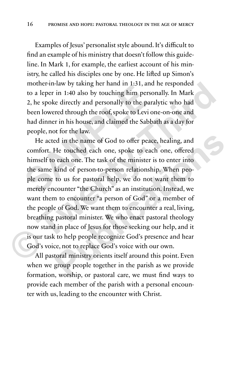Examples of Jesus' personalist style abound. It's difficult to find an example of his ministry that doesn't follow this guideline. In Mark 1, for example, the earliest account of his ministry, he called his disciples one by one. He lifted up Simon's mother-in-law by taking her hand in 1:31, and he responded to a leper in 1:40 also by touching him personally. In Mark 2, he spoke directly and personally to the paralytic who had been lowered through the roof, spoke to Levi one-on-one and had dinner in his house, and claimed the Sabbath as a day for people, not for the law.

He acted in the name of God to offer peace, healing, and comfort. He touched each one, spoke to each one, offered himself to each one. The task of the minister is to enter into the same kind of person-to-person relationship. When people come to us for pastoral help, we do not want them to merely encounter "the Church" as an institution. Instead, we want them to encounter "a person of God" or a member of the people of God. We want them to encounter a real, living, breathing pastoral minister. We who enact pastoral theology now stand in place of Jesus for those seeking our help, and it is our task to help people recognize God's presence and hear God's voice, not to replace God's voice with our own. to a leper in 1:40 also by touching him person<br>2, he spoke directly and personally to the paral<br>been lowered through the roof, spoke to Levi on<br>had dinner in his house, and claimed the Sabbat<br>people, not for the law.<br>He ac mother-in-law by taking her hand in 1:31, and he responded<br>to a leper in 1:40 also by touching him personally. In Mark<br>2, he spoke directly and personally to the paralytic who had<br>been lowered through the roof, spoke to Le Publication the name of God to offer peace, healing, and<br>He touched each one, spoke to each one, offered<br>each one. The task of the minister is to enter into<br>kind of person-to-person relationship. When peo-<br>to us for pastor

All pastoral ministry orients itself around this point. Even when we group people together in the parish as we provide formation, worship, or pastoral care, we must find ways to provide each member of the parish with a personal encounter with us, leading to the encounter with Christ.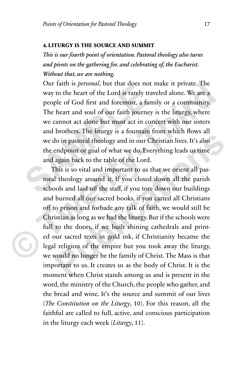#### **4. LITURGY IS THE SOURCE AND SUMMIT**

*This is our fourth point of orientation. Pastoral theology also turns and pivots on the gathering for, and celebrating of, the Eucharist. Without that, we are nothing.*

Our faith is *personal*, but that does not make it private. The way to the heart of the Lord is rarely traveled alone. We are a people of God first and foremost, a family or a community. The heart and soul of our faith journey is the liturgy, where we cannot act alone but must act in concert with our sisters and brothers. The liturgy is a fountain from which flows all we do in pastoral theology and in our Christian lives. It's also the endpoint or goal of what we do. Everything leads us time and again back to the table of the Lord. between the Lord is rarely traveled schools and laid off the Same and source and source and booking the heart and soul of our faith journey is we cannot act alone but must act in cond and brothers. The liturgy is a fountai

This is so vital and important to us that we orient all pastoral theology around it. If you closed down all the parish schools and laid off the staff, if you tore down our buildings and burned all our sacred books, if you carted all Christians off to prison and forbade any talk of faith, we would still be Christian as long as we had the liturgy. But if the schools were full to the doors, if we built shining cathedrals and printed our sacred texts in gold ink, if Christianity became the legal religion of the empire but you took away the liturgy, we would no longer be the family of Christ. The Mass is that important to us. It creates us as the body of Christ. It is the moment when Christ stands among us and is present in the word, the ministry of the Church, the people who gather, and the bread and wine. It's the source and summit of our lives (*The Constitution on the Liturgy*, 10). For this reason, all the faithful are called to full, active, and conscious participation in the liturgy each week (*Liturgy*, 11). Our faith is *personal*, but that does not make it private. The<br>way to the heart of the Lord is rarely traveled alone. We are a<br>people of God first and foremost, a family or a community.<br>The heart and soul of our faith jou **Publication Community** and in our Christian lives. It's also<br>
and point or goal of what we do. Everything leads us time<br>
again back to the table of the Lord.<br>
This is so vital and important to us that we orient all pas-<br>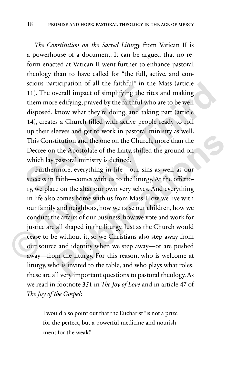*The Constitution on the Sacred Liturgy* from Vatican II is a powerhouse of a document. It can be argued that no reform enacted at Vatican II went further to enhance pastoral theology than to have called for "the full, active, and conscious participation of all the faithful" in the Mass (article 11). The overall impact of simplifying the rites and making them more edifying, prayed by the faithful who are to be well disposed, know what they're doing, and taking part (article 14), creates a Church filled with active people ready to roll up their sleeves and get to work in pastoral ministry as well. This Constitution and the one on the Church, more than the Decree on the Apostolate of the Laity, shifted the ground on which lay pastoral ministry is defined. 11). The overall impact of simplifying the rites<br>them more edifying, prayed by the faithful who<br>disposed, know what they're doing, and taking<br>14), creates a Church filled with active people<br>up their sleeves and get to work

Furthermore, everything in life—our sins as well as our success in faith—comes with us to the liturgy. At the offertory, we place on the altar our own very selves. And everything in life also comes home with us from Mass. How we live with our family and neighbors, how we raise our children, how we conduct the affairs of our business, how we vote and work for justice are all shaped in the liturgy. Just as the Church would cease to be without it, so we Christians also step away from our source and identity when we step away—or are pushed away—from the liturgy. For this reason, who is welcome at liturgy, who is invited to the table, and who plays what roles: these are all very important questions to pastoral theology. As we read in footnote 351 in *The Joy of Love* and in article 47 of *The Joy of the Gospel*: scious participation of all the faithful" in the Mass (article<br>11). The overall impact of simplifying the rites and making<br>them more edifying, prayed by the faithful who are to be well<br>disposed, know what they're doing, an **Publication** and the one on the Church, more than the the Apostolate of the Laity, shifted the ground on pastoral ministry is defined.<br> **Publication Publication Public** and **Publication Public Public Public Pu** 

> I would also point out that the Eucharist "is not a prize for the perfect, but a powerful medicine and nourishment for the weak."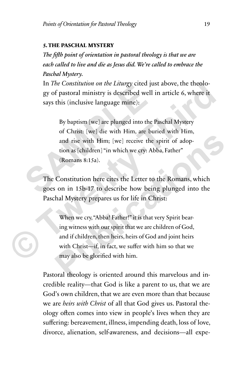#### **5. THE PASCHAL MYSTERY**

*The fifth point of orientation in pastoral theology is that we are each called to live and die as Jesus did. We're called to embrace the Paschal Mystery.*

In *The Constitution on the Liturgy* cited just above, the theology of pastoral ministry is described well in article 6, where it says this (inclusive language mine):

By baptism [we] are plunged into the Paschal Mystery of Christ: [we] die with Him, are buried with Him, and rise with Him; [we] receive the spirit of adoption as [children] "in which we cry: Abba, Father" (Romans 8:15a). In the constitution of the Ettungy circu just<br>gy of pastoral ministry is described well i<br>says this (inclusive language mine):<br>By baptism [we] are plunged into the P<br>of Christ: [we] die with Him, are bur<br>and rise with Him; In *The Constitution on the Littingy* cited just above, the theology of pastoral ministry is described well in article 6, where it says this (inclusive language mine):<br>By baptism [we] are plunged into the Paschal Mystery o

The Constitution here cites the Letter to the Romans, which goes on in 15b-17 to describe how being plunged into the Paschal Mystery prepares us for life in Christ:

When we cry, "Abba! Father!" it is that very Spirit bearing witness with our spirit that we are children of God, and if children, then heirs, heirs of God and joint heirs with Christ—if, in fact, we suffer with him so that we may also be glorified with him. **Publication** Interacting the spirit of adoption as [children] "in which we cry: Abba, Father"<br>
(Romans 8:15a).<br> **Publications 8:15a).**<br> **Publication here cites the Letter to the Romans, which son in 15b-17 to describe how** 

Pastoral theology is oriented around this marvelous and incredible reality—that God is like a parent to us, that we are God's own children, that we are even more than that because we are *heirs with Christ* of all that God gives us. Pastoral theology often comes into view in people's lives when they are suffering: bereavement, illness, impending death, loss of love, divorce, alienation, self-awareness, and decisions—all expe-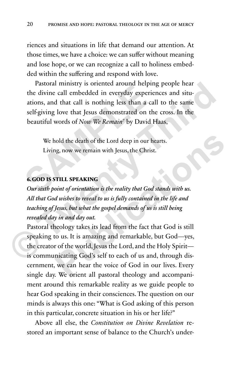riences and situations in life that demand our attention. At those times, we have a choice: we can suffer without meaning and lose hope, or we can recognize a call to holiness embedded within the suffering and respond with love.

Pastoral ministry is oriented around helping people hear the divine call embedded in everyday experiences and situations, and that call is nothing less than a call to the same self-giving love that Jesus demonstrated on the cross. In the beautiful words of *Now We Remain*<sup>7</sup> by David Haas, Tastoral Himsty Is of chicked about Hepping<br>the divine call embedded in everyday experient<br>ations, and that call is nothing less than a call<br>self-giving love that Jesus demonstrated on the<br>beautiful words of *Now We Remain* Pastoral ministry is oriented around helping people hear<br>the divine call embedded in everyday experiences and situ-<br>ations, and that call is nothing less than a call to the same<br>self-giving love that Jesus demonstrated on

We hold the death of the Lord deep in our hearts. Living, now we remain with Jesus, the Christ.

### **6. GOD IS STILL SPEAKING**

*Our sixth point of orientation is the reality that God stands with us. All that God wishes to reveal to us is fully contained in the life and teaching of Jesus, but what the gospel demands of us is still being revealed day in and day out.* 

Pastoral theology takes its lead from the fact that God is still speaking to us. It is amazing and remarkable, but God—yes, the creator of the world, Jesus the Lord, and the Holy Spirit is communicating God's self to each of us and, through discernment, we can hear the voice of God in our lives. Every single day. We orient all pastoral theology and accompaniment around this remarkable reality as we guide people to hear God speaking in their consciences. The question on our minds is always this one: "What is God asking of this person in this particular, concrete situation in his or her life?" hold the death of the Lord deep in our hearts.<br> **Publications Alternation is the Christ.**<br> **PUBLIC SPEAKING**<br> **PUBLIC SPEAKING**<br> **PUBLIC SPEAKING**<br> **PUBLIC SPEAKING**<br> **PUBLIC SPEAKING**<br> **PUBLIC SPEAKING**<br> **PUBLIC SPEAKING** 

Above all else, the *Constitution on Divine Revelation* restored an important sense of balance to the Church's under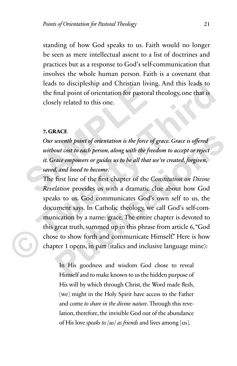standing of how God speaks to us. Faith would no longer be seen as mere intellectual assent to a list of doctrines and practices but as a response to God's self-communication that involves the whole human person. Faith is a covenant that leads to discipleship and Christian living. And this leads to the final point of orientation for pastoral theology, one that is closely related to this one.

### **7. GRACE**

*Our seventh point of orientation is the force of grace. Grace is offered without cost to each person, along with the freedom to accept or reject it. Grace empowers or guides us to be all that we're created, forgiven, saved, and loved to become.*  The final point of orientation for pastoral the final point of orientation for pastoral the final point of orientation for pastoral the contraction of the set of the first charge of the *without cost to each person*, along

The first line of the first chapter of the *Constitution on Divine Revelation* provides us with a dramatic clue about how God speaks to us. God communicates God's own self to us, the document says. In Catholic theology, we call God's self-communication by a name: grace. The entire chapter is devoted to this great truth, summed up in this phrase from article 6, "God chose to show forth and communicate Himself." Here is how chapter 1 opens, in part (italics and inclusive language mine): Fracta to discipleship and Christian living. And this leads to<br>the final point of orientation for pastoral theology, one that is<br>closely related to this one.<br>The final point of orientation is the force of grace. Grace is o **Publication 5 Publication** is the force of grace. Grace is offered out cost to each person, along with the freedom to accept or reject arace empowers or guides us to be all that we're created, forgiven,  $d$ , and loved t

In His goodness and wisdom God chose to reveal Himself and to make known to us the hidden purpose of His will by which through Christ, the Word made flesh, [we] might in the Holy Spirit have access to the Father and come *to share in the divine nature*. Through this revelation, therefore, the invisible God out of the abundance of His love *speaks to [us] as friends* and lives among [us].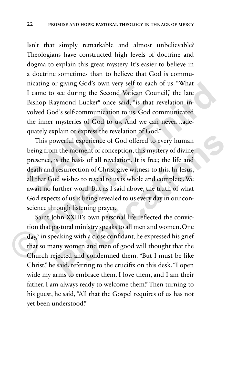Isn't that simply remarkable and almost unbelievable? Theologians have constructed high levels of doctrine and dogma to explain this great mystery. It's easier to believe in a doctrine sometimes than to believe that God is communicating or giving God's own very self to each of us. "What I came to see during the Second Vatican Council," the late Bishop Raymond Lucker<sup>8</sup> once said, "is that revelation involved God's self-communication to us. God communicated the inner mysteries of God to us. And we can never…adequately explain or express the revelation of God."

This powerful experience of God offered to every human being from the moment of conception, this mystery of divine presence, is the basis of all revelation. It is free; the life and death and resurrection of Christ give witness to this. In Jesus, all that God wishes to reveal to us is whole and complete. We await no further word. But as I said above, the truth of what God expects of us is being revealed to us every day in our conscience through listening prayer. I came to see during the Second Vatican Cou<br>Bishop Raymond Lucker<sup>8</sup> once said, "is that if<br>volved God's self-communication to us. God cc<br>the inner mysteries of God to us. And we car<br>quately explain or express the revelati ncating or giving God's own very self to each of us. "What<br>
I came to see during the Second Vatican Council," the late<br>
Bishop Raymond Lucker<sup>8</sup> once said, "is that revelation in-<br>
volved God's self-communication to us. Go France of God offered to every human<br>methed experience of God offered to every human<br>is the basis of all revelation. It is free; the life and<br>resurrection of Christ give witness to this. In Jesus,<br>d wishes to reveal to us

Saint John XXIII's own personal life reflected the conviction that pastoral ministry speaks to all men and women. One day,9 in speaking with a close confidant, he expressed his grief that so many women and men of good will thought that the Church rejected and condemned them. "But I must be like Christ," he said, referring to the crucifix on this desk. "I open wide my arms to embrace them. I love them, and I am their father. I am always ready to welcome them." Then turning to his guest, he said, "All that the Gospel requires of us has not yet been understood."